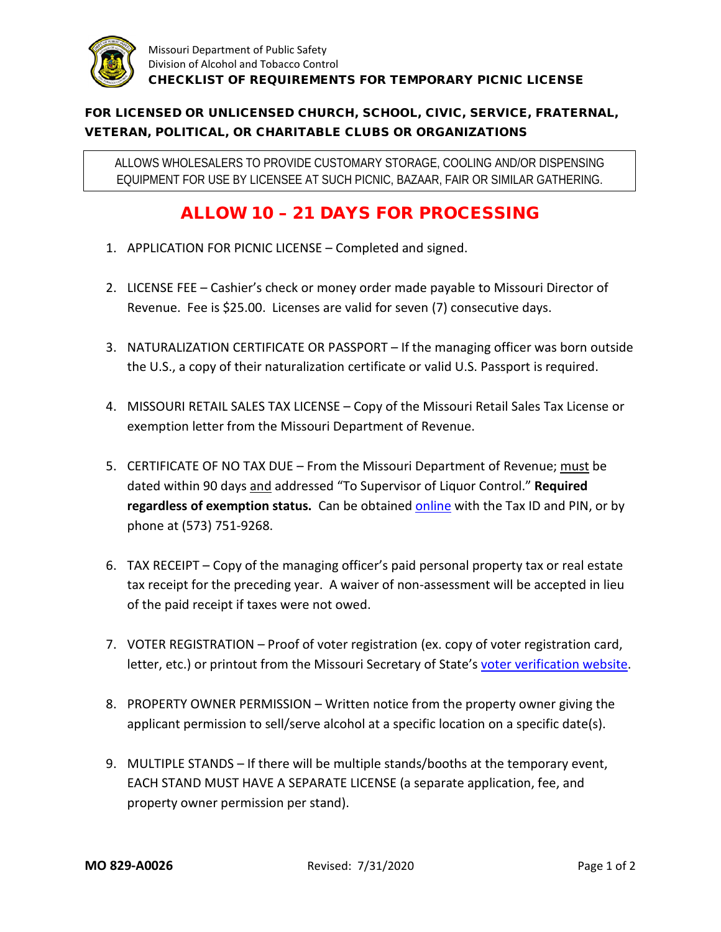

## FOR LICENSED OR UNLICENSED CHURCH, SCHOOL, CIVIC, SERVICE, FRATERNAL, VETERAN, POLITICAL, OR CHARITABLE CLUBS OR ORGANIZATIONS

ALLOWS WHOLESALERS TO PROVIDE CUSTOMARY STORAGE, COOLING AND/OR DISPENSING EQUIPMENT FOR USE BY LICENSEE AT SUCH PICNIC, BAZAAR, FAIR OR SIMILAR GATHERING.

## ALLOW 10 – 21 DAYS FOR PROCESSING

- 1. APPLICATION FOR PICNIC LICENSE Completed and signed.
- 2. LICENSE FEE Cashier's check or money order made payable to Missouri Director of Revenue. Fee is \$25.00. Licenses are valid for seven (7) consecutive days.
- 3. NATURALIZATION CERTIFICATE OR PASSPORT If the managing officer was born outside the U.S., a copy of their naturalization certificate or valid U.S. Passport is required.
- 4. MISSOURI RETAIL SALES TAX LICENSE Copy of the Missouri Retail Sales Tax License or exemption letter from the Missouri Department of Revenue.
- 5. CERTIFICATE OF NO TAX DUE From the Missouri Department of Revenue; must be dated within 90 days and addressed "To Supervisor of Liquor Control." **Required regardless of exemption status.** Can be obtained [online](https://mytax.mo.gov/rptp/portal/home/business/no-tax-due-selection/!ut/p/a1/04_Sj9CPykssy0xPLMnMz0vMAfGjzOKNLR3NPIyDDXz8XQOdDRyNw0zCDEMdjQ1MDIAKIpEVWPh5uBo4ugQ7-7o6uxsbGJgQp98AB3A0IKQ_XD8KVQkWF0AUWBg4u3sYGHm5hwYbGTj6O4aahDl6AVkwBXjcUJAbGmGQ6akIAPJJcmk!/dl5/d5/L2dBISEvZ0FBIS9nQSEh/) with the Tax ID and PIN, or by phone at (573) 751-9268.
- 6. TAX RECEIPT Copy of the managing officer's paid personal property tax or real estate tax receipt for the preceding year. A waiver of non-assessment will be accepted in lieu of the paid receipt if taxes were not owed.
- 7. VOTER REGISTRATION Proof of voter registration (ex. copy of voter registration card, letter, etc.) or printout from the Missouri Secretary of State's [voter verification website.](https://s1.sos.mo.gov/elections/voterlookup/)
- 8. PROPERTY OWNER PERMISSION Written notice from the property owner giving the applicant permission to sell/serve alcohol at a specific location on a specific date(s).
- 9. MULTIPLE STANDS If there will be multiple stands/booths at the temporary event, EACH STAND MUST HAVE A SEPARATE LICENSE (a separate application, fee, and property owner permission per stand).